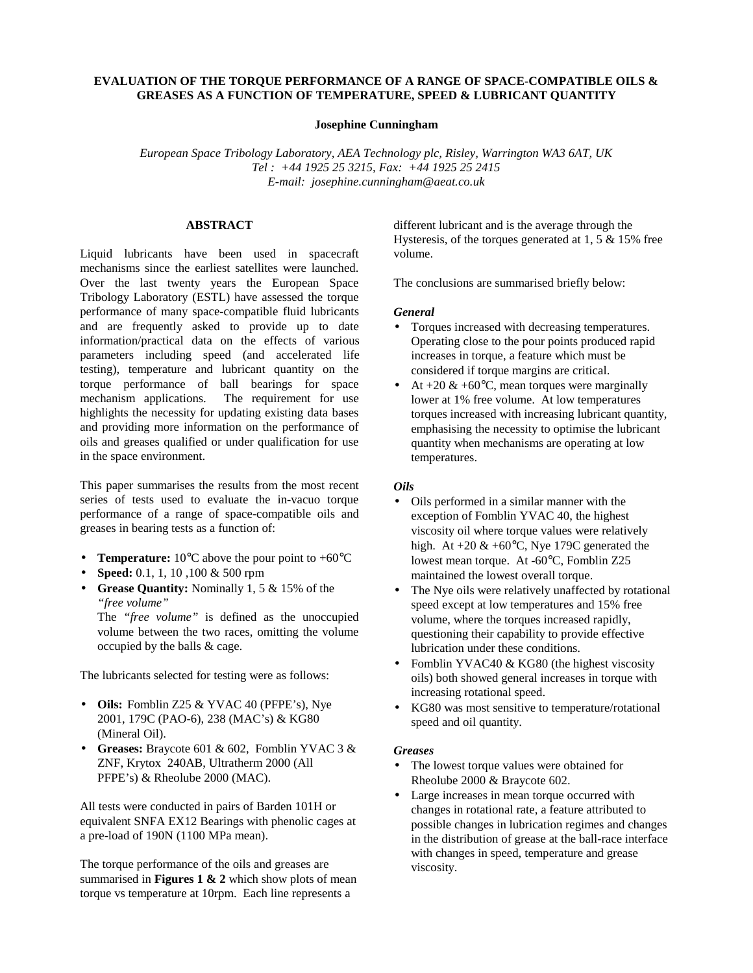# **EVALUATION OF THE TORQUE PERFORMANCE OF A RANGE OF SPACE-COMPATIBLE OILS & GREASES AS A FUNCTION OF TEMPERATURE, SPEED & LUBRICANT QUANTITY**

### **Josephine Cunningham**

*European Space Tribology Laboratory, AEA Technology plc, Risley, Warrington WA3 6AT, UK Tel : +44 1925 25 3215, Fax: +44 1925 25 2415 E-mail: josephine.cunningham@aeat.co.uk*

### **ABSTRACT**

Liquid lubricants have been used in spacecraft mechanisms since the earliest satellites were launched. Over the last twenty years the European Space Tribology Laboratory (ESTL) have assessed the torque performance of many space-compatible fluid lubricants and are frequently asked to provide up to date information/practical data on the effects of various parameters including speed (and accelerated life testing), temperature and lubricant quantity on the torque performance of ball bearings for space The requirement for use highlights the necessity for updating existing data bases and providing more information on the performance of oils and greases qualified or under qualification for use in the space environment.

This paper summarises the results from the most recent series of tests used to evaluate the in-vacuo torque performance of a range of space-compatible oils and greases in bearing tests as a function of:

- **Temperature:**  $10^{\circ}$ C above the pour point to  $+60^{\circ}$ C
- **Speed:** 0.1, 1, 10 ,100 & 500 rpm
- **Grease Quantity:** Nominally 1, 5 & 15% of the *"free volume"*

The *"free volume"* is defined as the unoccupied volume between the two races, omitting the volume occupied by the balls & cage.

The lubricants selected for testing were as follows:

- **Oils:** Fomblin Z25 & YVAC 40 (PFPE's), Nye 2001, 179C (PAO-6), 238 (MAC's) & KG80 (Mineral Oil).
- **Greases:** Braycote 601 & 602, Fomblin YVAC 3 & ZNF, Krytox 240AB, Ultratherm 2000 (All PFPE's) & Rheolube 2000 (MAC).

All tests were conducted in pairs of Barden 101H or equivalent SNFA EX12 Bearings with phenolic cages at a pre-load of 190N (1100 MPa mean).

The torque performance of the oils and greases are summarised in **Figures 1 & 2** which show plots of mean torque vs temperature at 10rpm. Each line represents a

different lubricant and is the average through the Hysteresis, of the torques generated at 1, 5 & 15% free volume.

The conclusions are summarised briefly below:

### *General*

- Torques increased with decreasing temperatures. Operating close to the pour points produced rapid increases in torque, a feature which must be considered if torque margins are critical.
- At  $+20 \& +60^{\circ}C$ , mean torques were marginally lower at 1% free volume. At low temperatures torques increased with increasing lubricant quantity, emphasising the necessity to optimise the lubricant quantity when mechanisms are operating at low temperatures.

## *Oils*

- Oils performed in a similar manner with the exception of Fomblin YVAC 40, the highest viscosity oil where torque values were relatively high. At  $+20 \& +60^{\circ}C$ , Nye 179C generated the lowest mean torque. At -60°C, Fomblin Z25 maintained the lowest overall torque.
- The Nye oils were relatively unaffected by rotational speed except at low temperatures and 15% free volume, where the torques increased rapidly, questioning their capability to provide effective lubrication under these conditions.
- Fomblin YVAC40 & KG80 (the highest viscosity oils) both showed general increases in torque with increasing rotational speed.
- KG80 was most sensitive to temperature/rotational speed and oil quantity.

### *Greases*

- The lowest torque values were obtained for Rheolube 2000 & Braycote 602.
- Large increases in mean torque occurred with changes in rotational rate, a feature attributed to possible changes in lubrication regimes and changes in the distribution of grease at the ball-race interface with changes in speed, temperature and grease viscosity.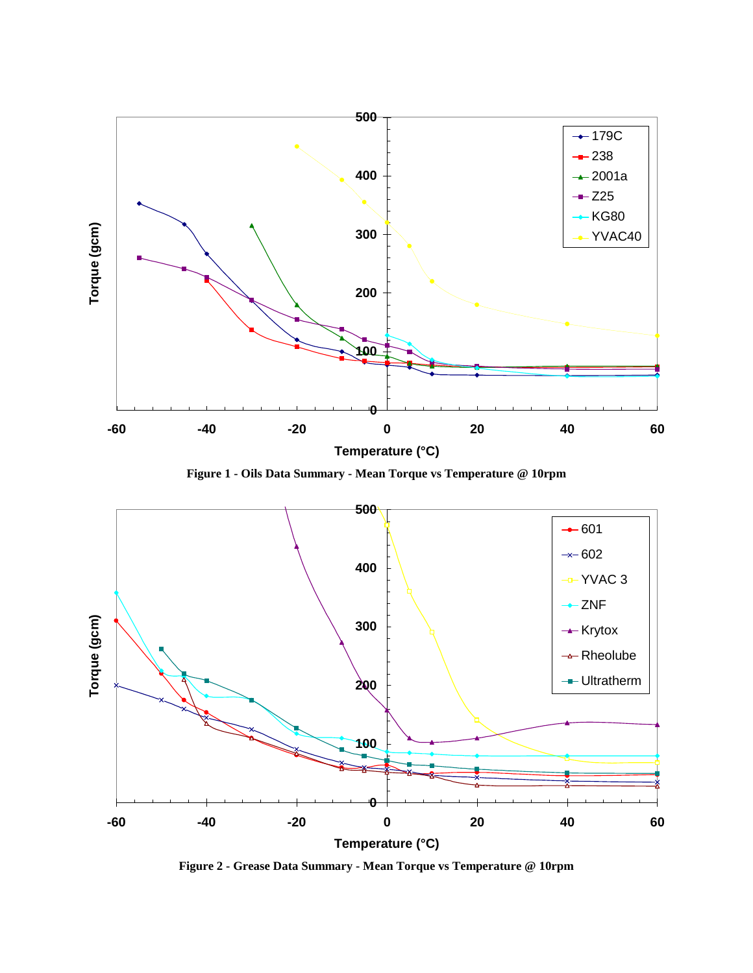

**Figure 1 - Oils Data Summary - Mean Torque vs Temperature @ 10rpm**



**Figure 2 - Grease Data Summary - Mean Torque vs Temperature @ 10rpm**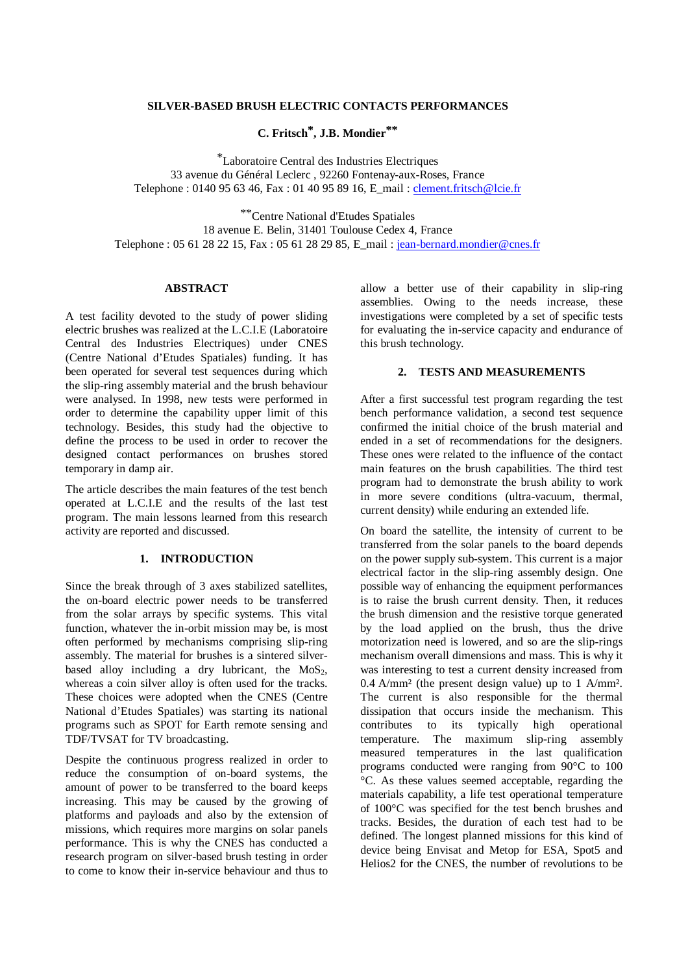### **SILVER-BASED BRUSH ELECTRIC CONTACTS PERFORMANCES**

**C. Fritsch\*, J.B. Mondier\*\***

\*Laboratoire Central des Industries Electriques 33 avenue du Général Leclerc , 92260 Fontenay-aux-Roses, France Telephone : 0140 95 63 46, Fax : 01 40 95 89 16, E\_mail : clement.fritsch@lcie.fr

\*\*Centre National d'Etudes Spatiales 18 avenue E. Belin, 31401 Toulouse Cedex 4, France Telephone : 05 61 28 22 15, Fax : 05 61 28 29 85, E\_mail : jean-bernard.mondier@cnes.fr

## **ABSTRACT**

A test facility devoted to the study of power sliding electric brushes was realized at the L.C.I.E (Laboratoire Central des Industries Electriques) under CNES (Centre National d'Etudes Spatiales) funding. It has been operated for several test sequences during which the slip-ring assembly material and the brush behaviour were analysed. In 1998, new tests were performed in order to determine the capability upper limit of this technology. Besides, this study had the objective to define the process to be used in order to recover the designed contact performances on brushes stored temporary in damp air.

The article describes the main features of the test bench operated at L.C.I.E and the results of the last test program. The main lessons learned from this research activity are reported and discussed.

### **1. INTRODUCTION**

Since the break through of 3 axes stabilized satellites, the on-board electric power needs to be transferred from the solar arrays by specific systems. This vital function, whatever the in-orbit mission may be, is most often performed by mechanisms comprising slip-ring assembly. The material for brushes is a sintered silverbased alloy including a dry lubricant, the  $MoS<sub>2</sub>$ , whereas a coin silver alloy is often used for the tracks. These choices were adopted when the CNES (Centre National d'Etudes Spatiales) was starting its national programs such as SPOT for Earth remote sensing and TDF/TVSAT for TV broadcasting.

Despite the continuous progress realized in order to reduce the consumption of on-board systems, the amount of power to be transferred to the board keeps increasing. This may be caused by the growing of platforms and payloads and also by the extension of missions, which requires more margins on solar panels performance. This is why the CNES has conducted a research program on silver-based brush testing in order to come to know their in-service behaviour and thus to allow a better use of their capability in slip-ring assemblies. Owing to the needs increase, these investigations were completed by a set of specific tests for evaluating the in-service capacity and endurance of this brush technology.

# **2. TESTS AND MEASUREMENTS**

After a first successful test program regarding the test bench performance validation, a second test sequence confirmed the initial choice of the brush material and ended in a set of recommendations for the designers. These ones were related to the influence of the contact main features on the brush capabilities. The third test program had to demonstrate the brush ability to work in more severe conditions (ultra-vacuum, thermal, current density) while enduring an extended life.

On board the satellite, the intensity of current to be transferred from the solar panels to the board depends on the power supply sub-system. This current is a major electrical factor in the slip-ring assembly design. One possible way of enhancing the equipment performances is to raise the brush current density. Then, it reduces the brush dimension and the resistive torque generated by the load applied on the brush, thus the drive motorization need is lowered, and so are the slip-rings mechanism overall dimensions and mass. This is why it was interesting to test a current density increased from 0.4 A/mm² (the present design value) up to 1 A/mm². The current is also responsible for the thermal dissipation that occurs inside the mechanism. This contributes to its typically high operational temperature. The maximum slip-ring assembly measured temperatures in the last qualification programs conducted were ranging from 90°C to 100 °C. As these values seemed acceptable, regarding the materials capability, a life test operational temperature of 100°C was specified for the test bench brushes and tracks. Besides, the duration of each test had to be defined. The longest planned missions for this kind of device being Envisat and Metop for ESA, Spot5 and Helios2 for the CNES, the number of revolutions to be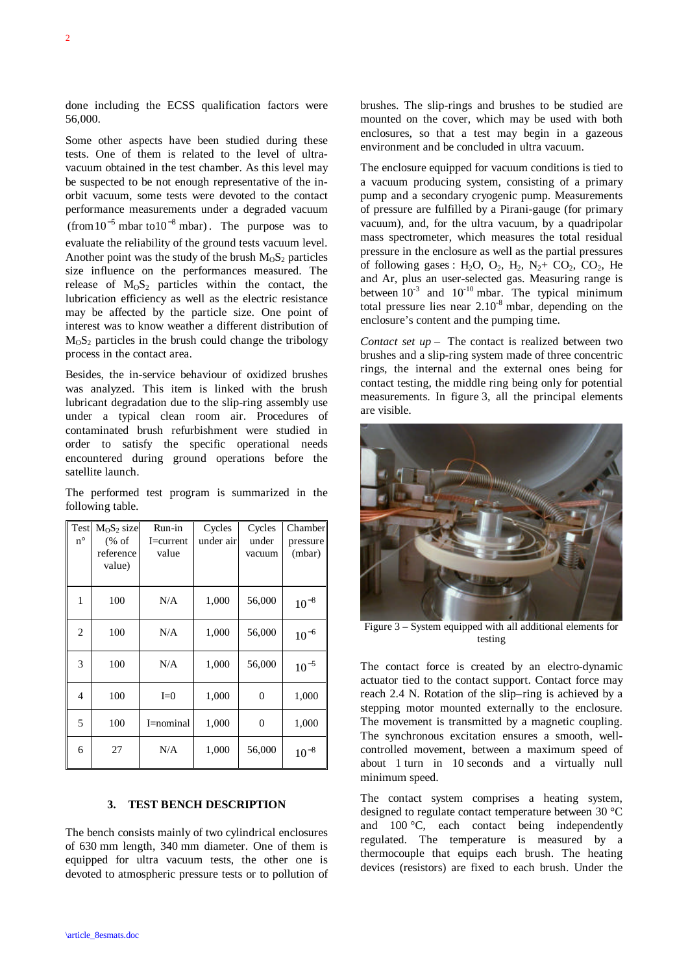done including the ECSS qualification factors were 56,000.

Some other aspects have been studied during these tests. One of them is related to the level of ultravacuum obtained in the test chamber. As this level may be suspected to be not enough representative of the inorbit vacuum, some tests were devoted to the contact performance measurements under a degraded vacuum  $(\text{from } 10^{-5} \text{ mbar to } 10^{-8} \text{ mbar})$ . The purpose was to evaluate the reliability of the ground tests vacuum level. Another point was the study of the brush  $M_0S_2$  particles size influence on the performances measured. The release of  $M<sub>0</sub>S<sub>2</sub>$  particles within the contact, the lubrication efficiency as well as the electric resistance may be affected by the particle size. One point of interest was to know weather a different distribution of  $M<sub>0</sub>S<sub>2</sub>$  particles in the brush could change the tribology process in the contact area.

Besides, the in-service behaviour of oxidized brushes was analyzed. This item is linked with the brush lubricant degradation due to the slip-ring assembly use under a typical clean room air. Procedures of contaminated brush refurbishment were studied in order to satisfy the specific operational needs encountered during ground operations before the satellite launch.

The performed test program is summarized in the following table.

| Test<br>$n^{\circ}$ | $M_0S_2$ size<br>% of<br>reference<br>value) | Run-in<br>I=current<br>value | Cycles<br>under air | Cycles<br>under<br>vacuum | Chamber<br>pressure<br>(mbar) |
|---------------------|----------------------------------------------|------------------------------|---------------------|---------------------------|-------------------------------|
| 1                   | 100                                          | N/A                          | 1,000               | 56,000                    | $10^{-8}$                     |
| $\overline{c}$      | 100                                          | N/A                          | 1,000               | 56,000                    | $10^{-6}$                     |
| 3                   | 100                                          | N/A                          | 1,000               | 56,000                    | $10^{-5}$                     |
| 4                   | 100                                          | $I=0$                        | 1,000               | $\overline{0}$            | 1,000                         |
| 5                   | 100                                          | I=nominal                    | 1,000               | $\boldsymbol{0}$          | 1,000                         |
| 6                   | 27                                           | N/A                          | 1,000               | 56,000                    | $10^{-8}$                     |

# **3. TEST BENCH DESCRIPTION**

The bench consists mainly of two cylindrical enclosures of 630 mm length, 340 mm diameter. One of them is equipped for ultra vacuum tests, the other one is devoted to atmospheric pressure tests or to pollution of brushes. The slip-rings and brushes to be studied are mounted on the cover, which may be used with both enclosures, so that a test may begin in a gazeous environment and be concluded in ultra vacuum.

The enclosure equipped for vacuum conditions is tied to a vacuum producing system, consisting of a primary pump and a secondary cryogenic pump. Measurements of pressure are fulfilled by a Pirani-gauge (for primary vacuum), and, for the ultra vacuum, by a quadripolar mass spectrometer, which measures the total residual pressure in the enclosure as well as the partial pressures of following gases : H<sub>2</sub>O, O<sub>2</sub>, H<sub>2</sub>, N<sub>2</sub>+ CO<sub>2</sub>, CO<sub>2</sub>, He and Ar, plus an user-selected gas. Measuring range is between  $10^{-3}$  and  $10^{-10}$  mbar. The typical minimum total pressure lies near  $2.10<sup>-8</sup>$  mbar, depending on the enclosure's content and the pumping time.

*Contact set up* – The contact is realized between two brushes and a slip-ring system made of three concentric rings, the internal and the external ones being for contact testing, the middle ring being only for potential measurements. In figure 3, all the principal elements are visible.



Figure 3 – System equipped with all additional elements for testing

The contact force is created by an electro-dynamic actuator tied to the contact support. Contact force may reach 2.4 N. Rotation of the slip–ring is achieved by a stepping motor mounted externally to the enclosure. The movement is transmitted by a magnetic coupling. The synchronous excitation ensures a smooth, wellcontrolled movement, between a maximum speed of about 1 turn in 10 seconds and a virtually null minimum speed.

The contact system comprises a heating system, designed to regulate contact temperature between 30 °C and 100 °C, each contact being independently regulated. The temperature is measured by a thermocouple that equips each brush. The heating devices (resistors) are fixed to each brush. Under the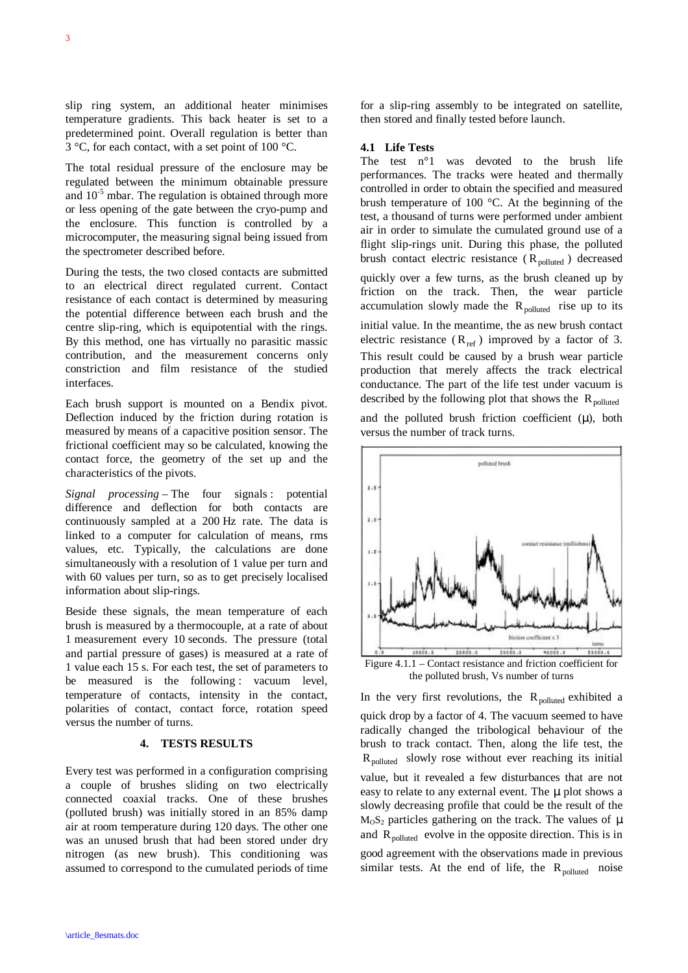slip ring system, an additional heater minimises temperature gradients. This back heater is set to a predetermined point. Overall regulation is better than 3 °C, for each contact, with a set point of 100 °C.

The total residual pressure of the enclosure may be regulated between the minimum obtainable pressure and  $10^{-5}$  mbar. The regulation is obtained through more or less opening of the gate between the cryo-pump and the enclosure. This function is controlled by a microcomputer, the measuring signal being issued from the spectrometer described before.

During the tests, the two closed contacts are submitted to an electrical direct regulated current. Contact resistance of each contact is determined by measuring the potential difference between each brush and the centre slip-ring, which is equipotential with the rings. By this method, one has virtually no parasitic massic contribution, and the measurement concerns only constriction and film resistance of the studied interfaces.

Each brush support is mounted on a Bendix pivot. Deflection induced by the friction during rotation is measured by means of a capacitive position sensor. The frictional coefficient may so be calculated, knowing the contact force, the geometry of the set up and the characteristics of the pivots.

*Signal processing* – The four signals : potential difference and deflection for both contacts are continuously sampled at a 200 Hz rate. The data is linked to a computer for calculation of means, rms values, etc. Typically, the calculations are done simultaneously with a resolution of 1 value per turn and with 60 values per turn, so as to get precisely localised information about slip-rings.

Beside these signals, the mean temperature of each brush is measured by a thermocouple, at a rate of about 1 measurement every 10 seconds. The pressure (total and partial pressure of gases) is measured at a rate of 1 value each 15 s. For each test, the set of parameters to be measured is the following : vacuum level, temperature of contacts, intensity in the contact, polarities of contact, contact force, rotation speed versus the number of turns.

## **4. TESTS RESULTS**

Every test was performed in a configuration comprising a couple of brushes sliding on two electrically connected coaxial tracks. One of these brushes (polluted brush) was initially stored in an 85% damp air at room temperature during 120 days. The other one was an unused brush that had been stored under dry nitrogen (as new brush). This conditioning was assumed to correspond to the cumulated periods of time

for a slip-ring assembly to be integrated on satellite, then stored and finally tested before launch.

### **4.1 Life Tests**

The test n°1 was devoted to the brush life performances. The tracks were heated and thermally controlled in order to obtain the specified and measured brush temperature of 100 °C. At the beginning of the test, a thousand of turns were performed under ambient air in order to simulate the cumulated ground use of a flight slip-rings unit. During this phase, the polluted brush contact electric resistance  $(R_{\text{nonluted}})$  decreased quickly over a few turns, as the brush cleaned up by friction on the track. Then, the wear particle accumulation slowly made the  $R_{\text{polluted}}$  rise up to its initial value. In the meantime, the as new brush contact electric resistance  $(R_{ref})$  improved by a factor of 3. This result could be caused by a brush wear particle production that merely affects the track electrical conductance. The part of the life test under vacuum is described by the following plot that shows the  $R_{polluted}$ 

and the polluted brush friction coefficient  $(\mu)$ , both versus the number of track turns.



the polluted brush, Vs number of turns

In the very first revolutions, the  $R_{polluted}$  exhibited a quick drop by a factor of 4. The vacuum seemed to have radically changed the tribological behaviour of the brush to track contact. Then, along the life test, the  $R_{\text{polluted}}$  slowly rose without ever reaching its initial value, but it revealed a few disturbances that are not easy to relate to any external event. The μ plot shows a slowly decreasing profile that could be the result of the  $M<sub>o</sub>S<sub>2</sub>$  particles gathering on the track. The values of μ and  $R_{\text{polluted}}$  evolve in the opposite direction. This is in good agreement with the observations made in previous similar tests. At the end of life, the  $R_{\text{nonluted}}$  noise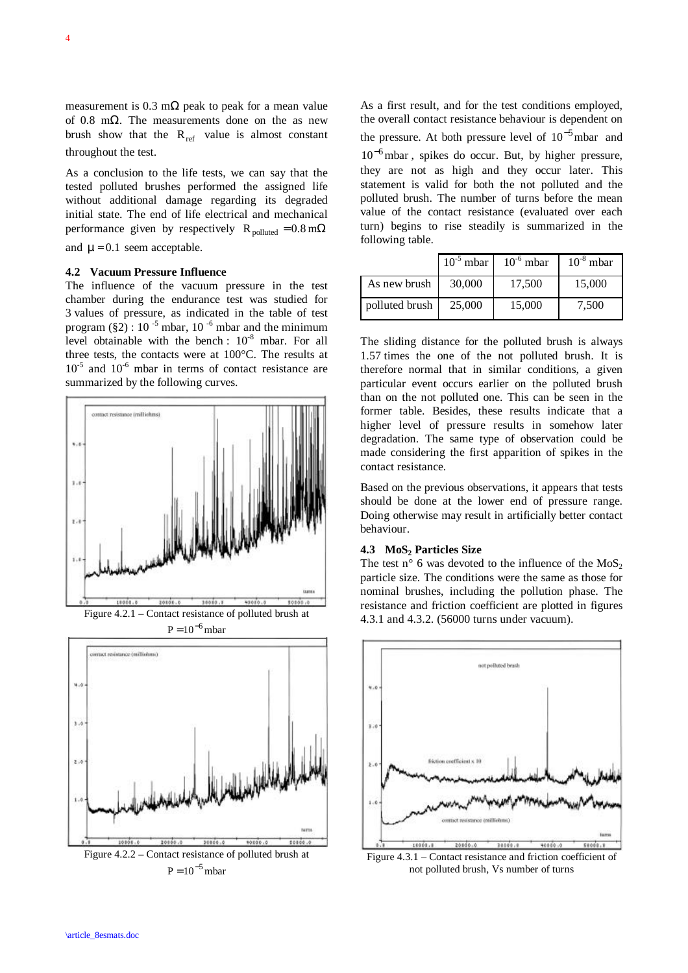measurement is 0.3 m $\Omega$  peak to peak for a mean value of 0.8 m $\Omega$ . The measurements done on the as new brush show that the  $R_{ref}$  value is almost constant throughout the test.

As a conclusion to the life tests, we can say that the tested polluted brushes performed the assigned life without additional damage regarding its degraded initial state. The end of life electrical and mechanical performance given by respectively R<sub>polluted</sub> =  $0.8 \text{ m}\Omega$ and  $\mu = 0.1$  seem acceptable.

# **4.2 Vacuum Pressure Influence**

The influence of the vacuum pressure in the test chamber during the endurance test was studied for 3 values of pressure, as indicated in the table of test program  $(\frac{8}{2})$ : 10<sup>-5</sup> mbar, 10<sup>-6</sup> mbar and the minimum level obtainable with the bench :  $10^{-8}$  mbar. For all three tests, the contacts were at 100°C. The results at  $10^{-5}$  and  $10^{-6}$  mbar in terms of contact resistance are summarized by the following curves.



 $P = 10^{-6}$  mbar



As a first result, and for the test conditions employed, the overall contact resistance behaviour is dependent on the pressure. At both pressure level of  $10^{-5}$  mbar and 10<sup>-6</sup> mbar, spikes do occur. But, by higher pressure, they are not as high and they occur later. This statement is valid for both the not polluted and the polluted brush. The number of turns before the mean value of the contact resistance (evaluated over each turn) begins to rise steadily is summarized in the following table.

|                | $10^{-5}$ mbar | $10^{-6}$ mbar | $10^{-8}$ mbar |
|----------------|----------------|----------------|----------------|
| As new brush   | 30,000         | 17,500         | 15,000         |
| polluted brush | 25,000         | 15,000         | 7,500          |

The sliding distance for the polluted brush is always 1.57 times the one of the not polluted brush. It is therefore normal that in similar conditions, a given particular event occurs earlier on the polluted brush than on the not polluted one. This can be seen in the former table. Besides, these results indicate that a higher level of pressure results in somehow later degradation. The same type of observation could be made considering the first apparition of spikes in the contact resistance.

Based on the previous observations, it appears that tests should be done at the lower end of pressure range. Doing otherwise may result in artificially better contact behaviour.

# **4.3 MoS2 Particles Size**

The test n° 6 was devoted to the influence of the  $MoS<sub>2</sub>$ particle size. The conditions were the same as those for nominal brushes, including the pollution phase. The resistance and friction coefficient are plotted in figures 4.3.1 and 4.3.2. (56000 turns under vacuum).



Figure 4.3.1 – Contact resistance and friction coefficient of not polluted brush, Vs number of turns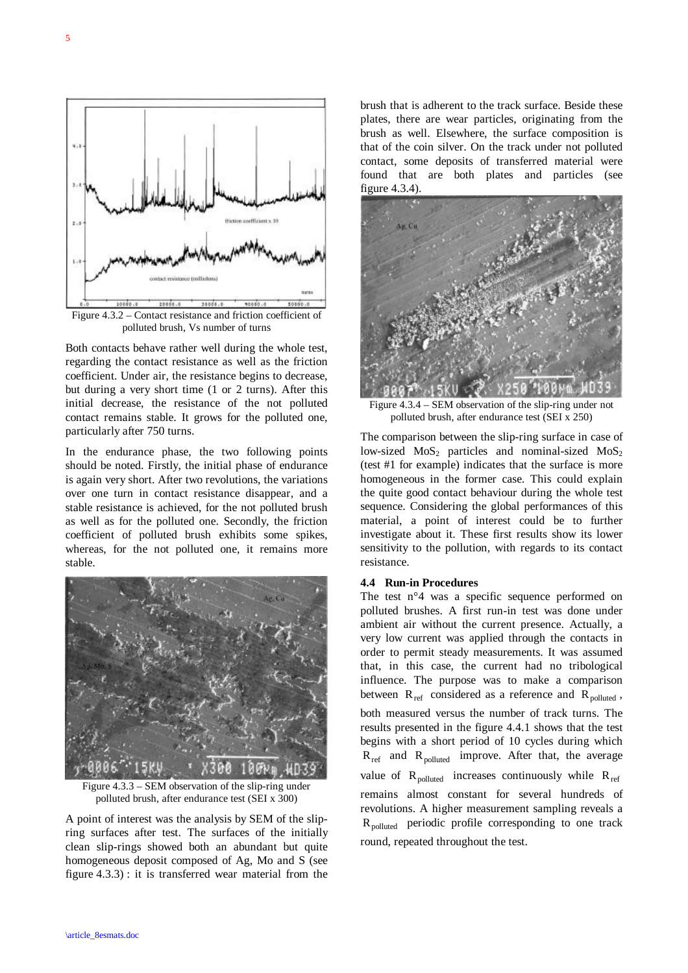

Figure 4.3.2 – Contact resistance and friction coefficient of polluted brush, Vs number of turns

Both contacts behave rather well during the whole test, regarding the contact resistance as well as the friction coefficient. Under air, the resistance begins to decrease, but during a very short time (1 or 2 turns). After this initial decrease, the resistance of the not polluted contact remains stable. It grows for the polluted one, particularly after 750 turns.

In the endurance phase, the two following points should be noted. Firstly, the initial phase of endurance is again very short. After two revolutions, the variations over one turn in contact resistance disappear, and a stable resistance is achieved, for the not polluted brush as well as for the polluted one. Secondly, the friction coefficient of polluted brush exhibits some spikes, whereas, for the not polluted one, it remains more stable.



Figure  $4.3.3 - SEM$  observation of the slip-ring under polluted brush, after endurance test (SEI x 300)

A point of interest was the analysis by SEM of the slipring surfaces after test. The surfaces of the initially clean slip-rings showed both an abundant but quite homogeneous deposit composed of Ag, Mo and S (see figure 4.3.3) : it is transferred wear material from the brush that is adherent to the track surface. Beside these plates, there are wear particles, originating from the brush as well. Elsewhere, the surface composition is that of the coin silver. On the track under not polluted contact, some deposits of transferred material were found that are both plates and particles (see figure 4.3.4).



Figure 4.3.4 – SEM observation of the slip-ring under not polluted brush, after endurance test (SEI x 250)

The comparison between the slip-ring surface in case of low-sized  $MoS_2$  particles and nominal-sized  $MoS_2$ (test #1 for example) indicates that the surface is more homogeneous in the former case. This could explain the quite good contact behaviour during the whole test sequence. Considering the global performances of this material, a point of interest could be to further investigate about it. These first results show its lower sensitivity to the pollution, with regards to its contact resistance.

#### **4.4 Run-in Procedures**

The test n°4 was a specific sequence performed on polluted brushes. A first run-in test was done under ambient air without the current presence. Actually, a very low current was applied through the contacts in order to permit steady measurements. It was assumed that, in this case, the current had no tribological influence. The purpose was to make a comparison between  $R_{ref}$  considered as a reference and  $R_{polluted}$ , both measured versus the number of track turns. The results presented in the figure 4.4.1 shows that the test begins with a short period of 10 cycles during which  $R_{ref}$  and  $R_{polluted}$  improve. After that, the average value of  $R_{\text{polluted}}$  increases continuously while  $R_{\text{ref}}$ remains almost constant for several hundreds of revolutions. A higher measurement sampling reveals a R<sub>polluted</sub> periodic profile corresponding to one track round, repeated throughout the test.